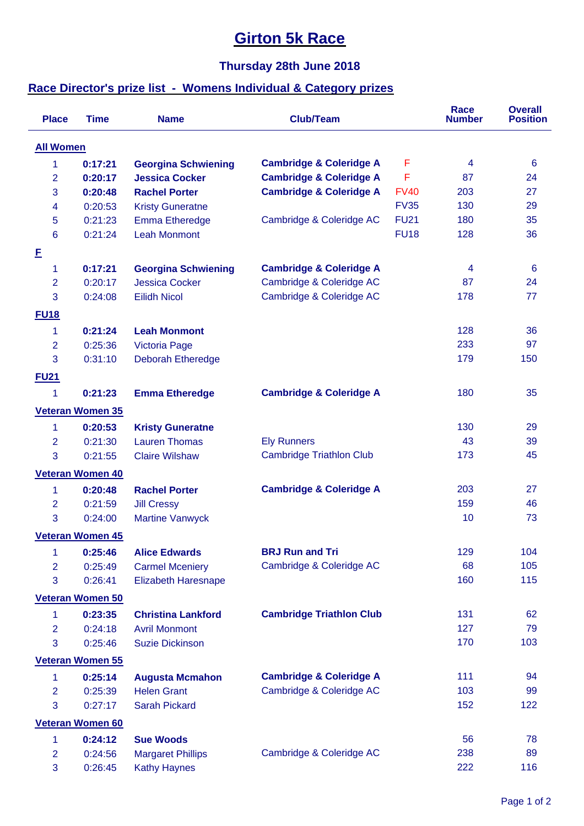## **Girton 5k Race**

## **Thursday 28th June 2018**

## **Race Director's prize list - Womens Individual & Category prizes**

| <b>Place</b>     | <b>Time</b>             | <b>Name</b>                | <b>Club/Team</b>                   |             | <b>Race</b><br><b>Number</b> | <b>Overall</b><br><b>Position</b> |
|------------------|-------------------------|----------------------------|------------------------------------|-------------|------------------------------|-----------------------------------|
| <b>All Women</b> |                         |                            |                                    |             |                              |                                   |
| 1                | 0:17:21                 | <b>Georgina Schwiening</b> | <b>Cambridge &amp; Coleridge A</b> | F           | 4                            | $6\phantom{1}6$                   |
| $\overline{2}$   | 0:20:17                 | <b>Jessica Cocker</b>      | <b>Cambridge &amp; Coleridge A</b> | F           | 87                           | 24                                |
| 3                | 0:20:48                 | <b>Rachel Porter</b>       | <b>Cambridge &amp; Coleridge A</b> | <b>FV40</b> | 203                          | 27                                |
| 4                | 0:20:53                 | <b>Kristy Guneratne</b>    |                                    | <b>FV35</b> | 130                          | 29                                |
| 5                | 0:21:23                 | <b>Emma Etheredge</b>      | Cambridge & Coleridge AC           | <b>FU21</b> | 180                          | 35                                |
| 6                | 0:21:24                 | <b>Leah Monmont</b>        |                                    | <b>FU18</b> | 128                          | 36                                |
| E                |                         |                            |                                    |             |                              |                                   |
| 1                | 0:17:21                 | <b>Georgina Schwiening</b> | <b>Cambridge &amp; Coleridge A</b> |             | 4                            | $6\phantom{1}6$                   |
| $\overline{2}$   | 0:20:17                 | <b>Jessica Cocker</b>      | Cambridge & Coleridge AC           |             | 87                           | 24                                |
| 3                | 0:24:08                 | <b>Eilidh Nicol</b>        | Cambridge & Coleridge AC           |             | 178                          | 77                                |
| <b>FU18</b>      |                         |                            |                                    |             |                              |                                   |
| 1                | 0:21:24                 | <b>Leah Monmont</b>        |                                    |             | 128                          | 36                                |
| 2                | 0:25:36                 | <b>Victoria Page</b>       |                                    |             | 233                          | 97                                |
| 3                | 0:31:10                 | <b>Deborah Etheredge</b>   |                                    |             | 179                          | 150                               |
|                  |                         |                            |                                    |             |                              |                                   |
| <b>FU21</b><br>1 | 0:21:23                 |                            | <b>Cambridge &amp; Coleridge A</b> |             | 180                          | 35                                |
|                  |                         | <b>Emma Etheredge</b>      |                                    |             |                              |                                   |
|                  | <b>Veteran Women 35</b> |                            |                                    |             |                              |                                   |
| 1                | 0:20:53                 | <b>Kristy Guneratne</b>    |                                    |             | 130                          | 29                                |
| $\overline{2}$   | 0:21:30                 | <b>Lauren Thomas</b>       | <b>Ely Runners</b>                 |             | 43                           | 39                                |
| 3                | 0:21:55                 | <b>Claire Wilshaw</b>      | <b>Cambridge Triathlon Club</b>    |             | 173                          | 45                                |
|                  | <b>Veteran Women 40</b> |                            |                                    |             |                              |                                   |
| 1                | 0:20:48                 | <b>Rachel Porter</b>       | <b>Cambridge &amp; Coleridge A</b> |             | 203                          | 27                                |
| $\overline{2}$   | 0:21:59                 | <b>Jill Cressy</b>         |                                    |             | 159                          | 46                                |
| 3                | 0:24:00                 | <b>Martine Vanwyck</b>     |                                    |             | 10                           | 73                                |
|                  | <b>Veteran Women 45</b> |                            |                                    |             |                              |                                   |
| 1                | 0:25:46                 | <b>Alice Edwards</b>       | <b>BRJ Run and Tri</b>             |             | 129                          | 104                               |
| $\overline{2}$   | 0:25:49                 | <b>Carmel Mceniery</b>     | Cambridge & Coleridge AC           |             | 68                           | 105                               |
| 3                | 0:26:41                 | Elizabeth Haresnape        |                                    |             | 160                          | 115                               |
|                  | <b>Veteran Women 50</b> |                            |                                    |             |                              |                                   |
| 1                | 0:23:35                 | <b>Christina Lankford</b>  | <b>Cambridge Triathlon Club</b>    |             | 131                          | 62                                |
| $\overline{2}$   | 0:24:18                 | <b>Avril Monmont</b>       |                                    |             | 127                          | 79                                |
| 3                | 0:25:46                 | <b>Suzie Dickinson</b>     |                                    |             | 170                          | 103                               |
|                  | <b>Veteran Women 55</b> |                            |                                    |             |                              |                                   |
| 1                | 0:25:14                 | <b>Augusta Mcmahon</b>     | <b>Cambridge &amp; Coleridge A</b> |             | 111                          | 94                                |
| 2                | 0:25:39                 | <b>Helen Grant</b>         | Cambridge & Coleridge AC           |             | 103                          | 99                                |
| 3                | 0:27:17                 | <b>Sarah Pickard</b>       |                                    |             | 152                          | 122                               |
|                  | <b>Veteran Women 60</b> |                            |                                    |             |                              |                                   |
| 1                | 0:24:12                 | <b>Sue Woods</b>           |                                    |             | 56                           | 78                                |
| $\overline{2}$   | 0:24:56                 | <b>Margaret Phillips</b>   | Cambridge & Coleridge AC           |             | 238                          | 89                                |
| 3                | 0:26:45                 | <b>Kathy Haynes</b>        |                                    |             | 222                          | 116                               |